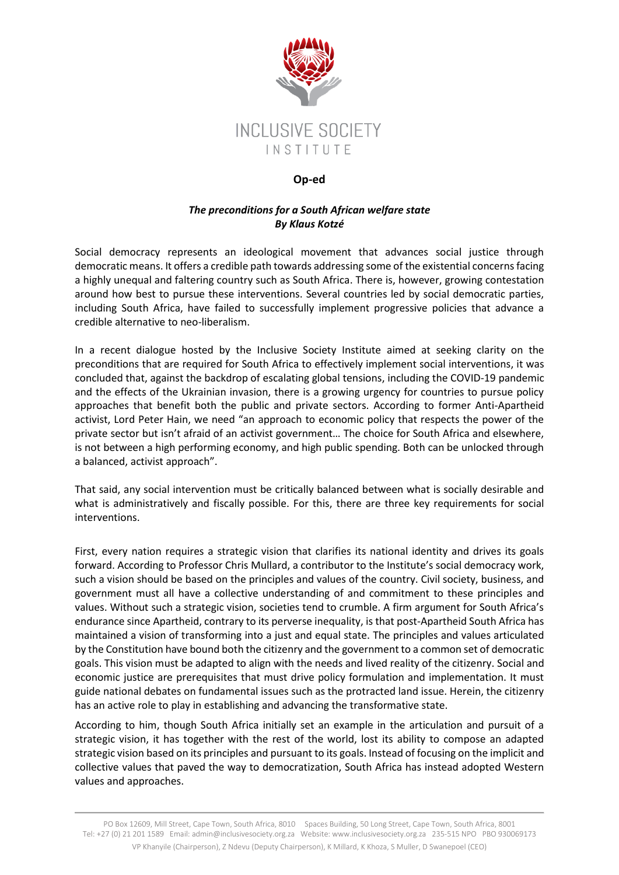

## **Op-ed**

## *The preconditions for a South African welfare state By Klaus Kotzé*

Social democracy represents an ideological movement that advances social justice through democratic means. It offers a credible path towards addressing some of the existential concerns facing a highly unequal and faltering country such as South Africa. There is, however, growing contestation around how best to pursue these interventions. Several countries led by social democratic parties, including South Africa, have failed to successfully implement progressive policies that advance a credible alternative to neo-liberalism.

In a recent dialogue hosted by the Inclusive Society Institute aimed at seeking clarity on the preconditions that are required for South Africa to effectively implement social interventions, it was concluded that, against the backdrop of escalating global tensions, including the COVID-19 pandemic and the effects of the Ukrainian invasion, there is a growing urgency for countries to pursue policy approaches that benefit both the public and private sectors. According to former Anti-Apartheid activist, Lord Peter Hain, we need "an approach to economic policy that respects the power of the private sector but isn't afraid of an activist government… The choice for South Africa and elsewhere, is not between a high performing economy, and high public spending. Both can be unlocked through a balanced, activist approach".

That said, any social intervention must be critically balanced between what is socially desirable and what is administratively and fiscally possible. For this, there are three key requirements for social interventions.

First, every nation requires a strategic vision that clarifies its national identity and drives its goals forward. According to Professor Chris Mullard, a contributor to the Institute's social democracy work, such a vision should be based on the principles and values of the country. Civil society, business, and government must all have a collective understanding of and commitment to these principles and values. Without such a strategic vision, societies tend to crumble. A firm argument for South Africa's endurance since Apartheid, contrary to its perverse inequality, is that post-Apartheid South Africa has maintained a vision of transforming into a just and equal state. The principles and values articulated by the Constitution have bound both the citizenry and the government to a common set of democratic goals. This vision must be adapted to align with the needs and lived reality of the citizenry. Social and economic justice are prerequisites that must drive policy formulation and implementation. It must guide national debates on fundamental issues such as the protracted land issue. Herein, the citizenry has an active role to play in establishing and advancing the transformative state.

According to him, though South Africa initially set an example in the articulation and pursuit of a strategic vision, it has together with the rest of the world, lost its ability to compose an adapted strategic vision based on its principles and pursuant to its goals. Instead of focusing on the implicit and collective values that paved the way to democratization, South Africa has instead adopted Western values and approaches.